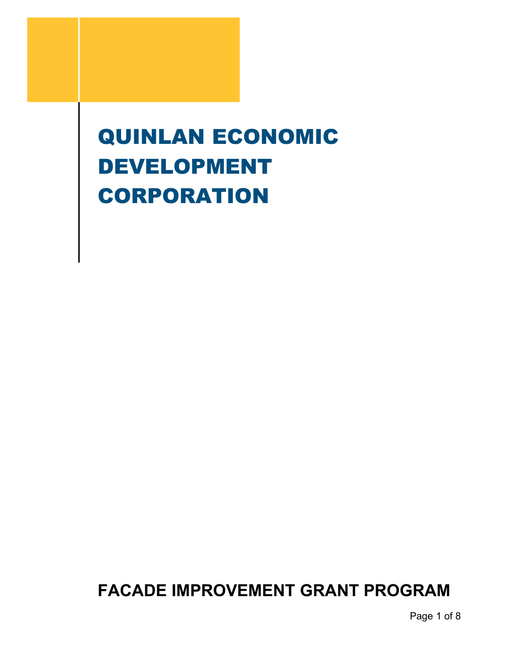# QUINLAN ECONOMIC DEVELOPMENT **CORPORATION**

**FACADE IMPROVEMENT GRANT PROGRAM**

Page 1 of 8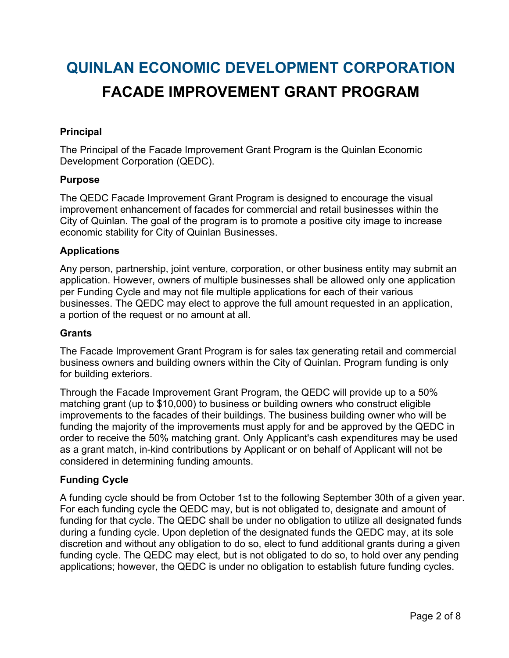# **QUINLAN ECONOMIC DEVELOPMENT CORPORATION FACADE IMPROVEMENT GRANT PROGRAM**

# **Principal**

The Principal of the Facade Improvement Grant Program is the Quinlan Economic Development Corporation (QEDC).

#### **Purpose**

The QEDC Facade Improvement Grant Program is designed to encourage the visual improvement enhancement of facades for commercial and retail businesses within the City of Quinlan. The goal of the program is to promote a positive city image to increase economic stability for City of Quinlan Businesses.

#### **Applications**

Any person, partnership, joint venture, corporation, or other business entity may submit an application. However, owners of multiple businesses shall be allowed only one application per Funding Cycle and may not file multiple applications for each of their various businesses. The QEDC may elect to approve the full amount requested in an application, a portion of the request or no amount at all.

#### **Grants**

The Facade Improvement Grant Program is for sales tax generating retail and commercial business owners and building owners within the City of Quinlan. Program funding is only for building exteriors.

Through the Facade Improvement Grant Program, the QEDC will provide up to a 50% matching grant (up to \$10,000) to business or building owners who construct eligible improvements to the facades of their buildings. The business building owner who will be funding the majority of the improvements must apply for and be approved by the QEDC in order to receive the 50% matching grant. Only Applicant's cash expenditures may be used as a grant match, in-kind contributions by Applicant or on behalf of Applicant will not be considered in determining funding amounts.

#### **Funding Cycle**

A funding cycle should be from October 1st to the following September 30th of a given year. For each funding cycle the QEDC may, but is not obligated to, designate and amount of funding for that cycle. The QEDC shall be under no obligation to utilize all designated funds during a funding cycle. Upon depletion of the designated funds the QEDC may, at its sole discretion and without any obligation to do so, elect to fund additional grants during a given funding cycle. The QEDC may elect, but is not obligated to do so, to hold over any pending applications; however, the QEDC is under no obligation to establish future funding cycles.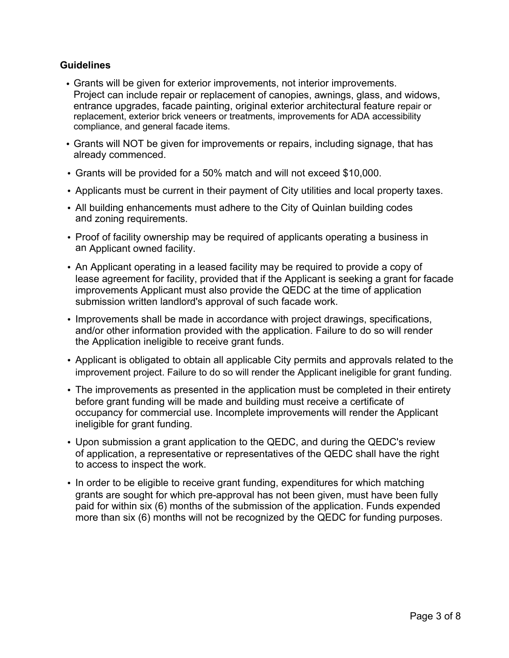## **Guidelines**

- Grants will be given for exterior improvements, not interior improvements. Project can include repair or replacement of canopies, awnings, glass, and widows, entrance upgrades, facade painting, original exterior architectural feature repair or replacement, exterior brick veneers or treatments, improvements for ADA accessibility compliance, and general facade items.
- Grants will NOT be given for improvements or repairs, including signage, that has already commenced.
- Grants will be provided for a 50% match and will not exceed \$10,000.
- Applicants must be current in their payment of City utilities and local property taxes.
- All building enhancements must adhere to the City of Quinlan building codes and zoning requirements.
- Proof of facility ownership may be required of applicants operating a business in an Applicant owned facility.
- An Applicant operating in a leased facility may be required to provide a copy of lease agreement for facility, provided that if the Applicant is seeking a grant for facade improvements Applicant must also provide the QEDC at the time of application submission written landlord's approval of such facade work.
- Improvements shall be made in accordance with project drawings, specifications, and/or other information provided with the application. Failure to do so will render the Application ineligible to receive grant funds.
- Applicant is obligated to obtain all applicable City permits and approvals related to the improvement project. Failure to do so will render the Applicant ineligible for grant funding.
- The improvements as presented in the application must be completed in their entirety before grant funding will be made and building must receive a certificate of occupancy for commercial use. Incomplete improvements will render the Applicant ineligible for grant funding.
- Upon submission a grant application to the QEDC, and during the QEDC's review of application, a representative or representatives of the QEDC shall have the right to access to inspect the work.
- In order to be eligible to receive grant funding, expenditures for which matching grants are sought for which pre-approval has not been given, must have been fully paid for within six (6) months of the submission of the application. Funds expended more than six (6) months will not be recognized by the QEDC for funding purposes.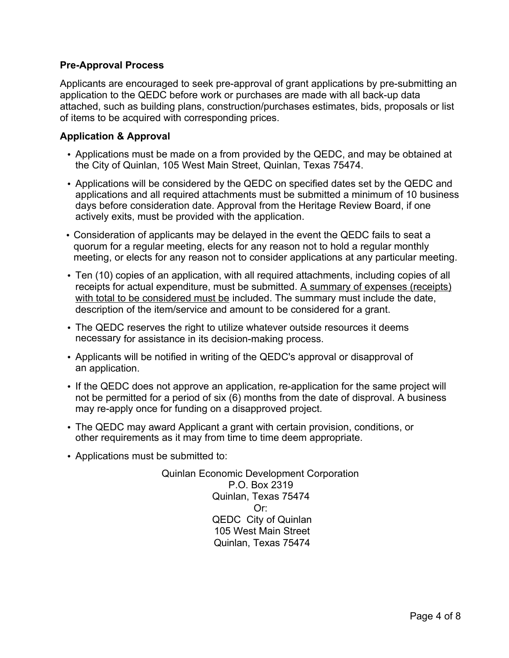# **Pre-Approval Process**

Applicants are encouraged to seek pre-approval of grant applications by pre-submitting an application to the QEDC before work or purchases are made with all back-up data attached, such as building plans, construction/purchases estimates, bids, proposals or list of items to be acquired with corresponding prices.

# **Application & Approval**

- Applications must be made on a from provided by the QEDC, and may be obtained at the City of Quinlan, 105 West Main Street, Quinlan, Texas 75474.
- Applications will be considered by the QEDC on specified dates set by the QEDC and applications and all required attachments must be submitted a minimum of 10 business days before consideration date. Approval from the Heritage Review Board, if one actively exits, must be provided with the application.
- Consideration of applicants may be delayed in the event the QEDC fails to seat a quorum for a regular meeting, elects for any reason not to hold a regular monthly meeting, or elects for any reason not to consider applications at any particular meeting.
- Ten (10) copies of an application, with all required attachments, including copies of all receipts for actual expenditure, must be submitted. A summary of expenses (receipts) with total to be considered must be included. The summary must include the date, description of the item/service and amount to be considered for a grant.
- The QEDC reserves the right to utilize whatever outside resources it deems necessary for assistance in its decision-making process.
- Applicants will be notified in writing of the QEDC's approval or disapproval of an application.
- If the QEDC does not approve an application, re-application for the same project will not be permitted for a period of six (6) months from the date of disproval. A business may re-apply once for funding on a disapproved project.
- The QEDC may award Applicant a grant with certain provision, conditions, or other requirements as it may from time to time deem appropriate.
- Applications must be submitted to:

Quinlan Economic Development Corporation P.O. Box 2319 Quinlan, Texas 75474 Or: QEDC City of Quinlan 105 West Main Street Quinlan, Texas 75474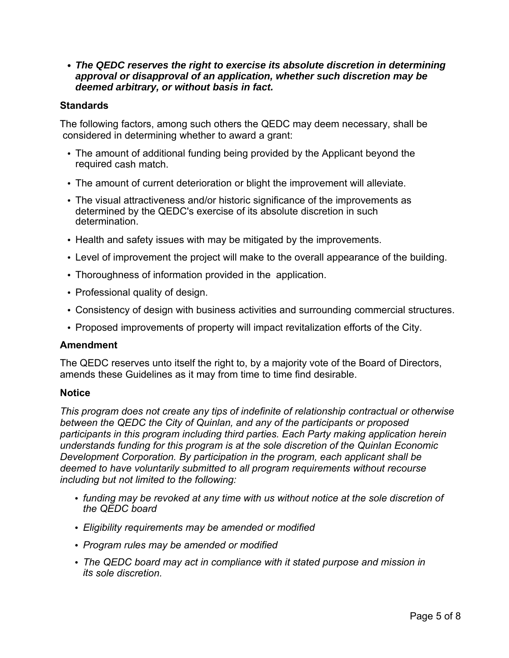#### *• The QEDC reserves the right to exercise its absolute discretion in determining approval or disapproval of an application, whether such discretion may be deemed arbitrary, or without basis in fact.*

#### **Standards**

The following factors, among such others the QEDC may deem necessary, shall be considered in determining whether to award a grant:

- The amount of additional funding being provided by the Applicant beyond the required cash match.
- The amount of current deterioration or blight the improvement will alleviate.
- The visual attractiveness and/or historic significance of the improvements as determined by the QEDC's exercise of its absolute discretion in such determination.
- Health and safety issues with may be mitigated by the improvements.
- Level of improvement the project will make to the overall appearance of the building.
- Thoroughness of information provided in the application.
- Professional quality of design.
- Consistency of design with business activities and surrounding commercial structures.
- Proposed improvements of property will impact revitalization efforts of the City.

#### **Amendment**

The QEDC reserves unto itself the right to, by a majority vote of the Board of Directors, amends these Guidelines as it may from time to time find desirable.

#### **Notice**

*This program does not create any tips of indefinite of relationship contractual or otherwise between the QEDC the City of Quinlan, and any of the participants or proposed participants in this program including third parties. Each Party making application herein understands funding for this program is at the sole discretion of the Quinlan Economic Development Corporation. By participation in the program, each applicant shall be deemed to have voluntarily submitted to all program requirements without recourse including but not limited to the following:*

- *funding may be revoked at any time with us without notice at the sole discretion of the QEDC board*
- *Eligibility requirements may be amended or modified*
- *Program rules may be amended or modified*
- *The QEDC board may act in compliance with it stated purpose and mission in its sole discretion.*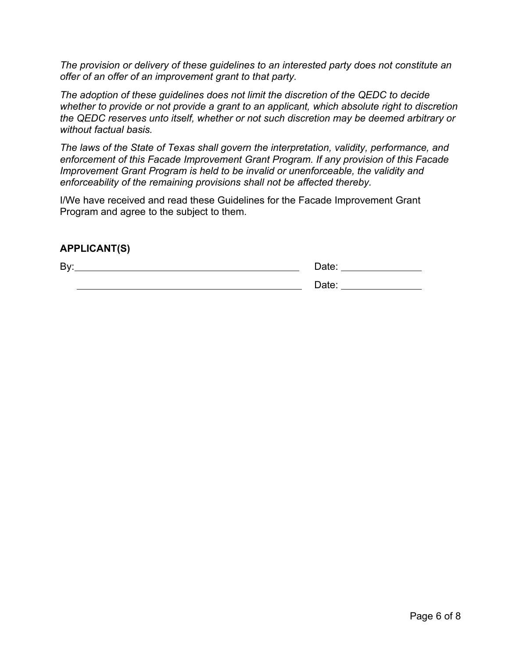*The provision or delivery of these guidelines to an interested party does not constitute an offer of an offer of an improvement grant to that party.*

*The adoption of these guidelines does not limit the discretion of the QEDC to decide whether to provide or not provide a grant to an applicant, which absolute right to discretion the QEDC reserves unto itself, whether or not such discretion may be deemed arbitrary or without factual basis.*

*The laws of the State of Texas shall govern the interpretation, validity, performance, and enforcement of this Facade Improvement Grant Program. If any provision of this Facade Improvement Grant Program is held to be invalid or unenforceable, the validity and enforceability of the remaining provisions shall not be affected thereby.*

I/We have received and read these Guidelines for the Facade Improvement Grant Program and agree to the subject to them.

# **APPLICANT(S)**

By: Date:

<u>Date: 2008 November 2008 November 2008 November 2008 November 2008 November 2008 November 2008 November 2008 N</u>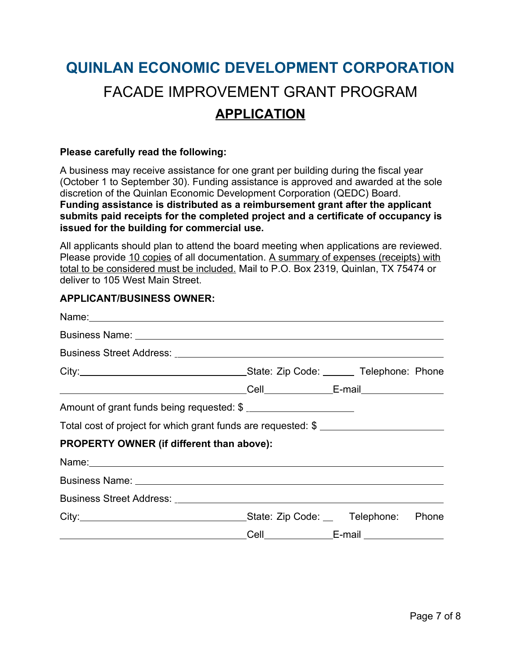# **QUINLAN ECONOMIC DEVELOPMENT CORPORATION** FACADE IMPROVEMENT GRANT PROGRAM **APPLICATION**

#### **Please carefully read the following:**

A business may receive assistance for one grant per building during the fiscal year (October 1 to September 30). Funding assistance is approved and awarded at the sole discretion of the Quinlan Economic Development Corporation (QEDC) Board. **Funding assistance is distributed as a reimbursement grant after the applicant submits paid receipts for the completed project and a certificate of occupancy is issued for the building for commercial use.**

All applicants should plan to attend the board meeting when applications are reviewed. Please provide 10 copies of all documentation. A summary of expenses (receipts) with total to be considered must be included. Mail to P.O. Box 2319, Quinlan, TX 75474 or deliver to 105 West Main Street.

## **APPLICANT/BUSINESS OWNER:**

| Business Name: <u>example and a series of the series of the series of the series of the series of the series of the series of the series of the series of the series of the series of the series of the series of the series of </u> |                                       |                                                   |  |
|--------------------------------------------------------------------------------------------------------------------------------------------------------------------------------------------------------------------------------------|---------------------------------------|---------------------------------------------------|--|
|                                                                                                                                                                                                                                      |                                       |                                                   |  |
|                                                                                                                                                                                                                                      |                                       |                                                   |  |
|                                                                                                                                                                                                                                      |                                       |                                                   |  |
| Amount of grant funds being requested: \$                                                                                                                                                                                            |                                       |                                                   |  |
| Total cost of project for which grant funds are requested: \$                                                                                                                                                                        |                                       |                                                   |  |
| PROPERTY OWNER (if different than above):                                                                                                                                                                                            |                                       |                                                   |  |
|                                                                                                                                                                                                                                      |                                       |                                                   |  |
|                                                                                                                                                                                                                                      |                                       |                                                   |  |
|                                                                                                                                                                                                                                      |                                       |                                                   |  |
|                                                                                                                                                                                                                                      | _State: Zip Code: __ Telephone: Phone |                                                   |  |
| <u> Alexandria de la contrada de la contrada de la contrada de la contrada de la contrada de la contrada de la c</u>                                                                                                                 |                                       | _Cell__________________E-mail ___________________ |  |